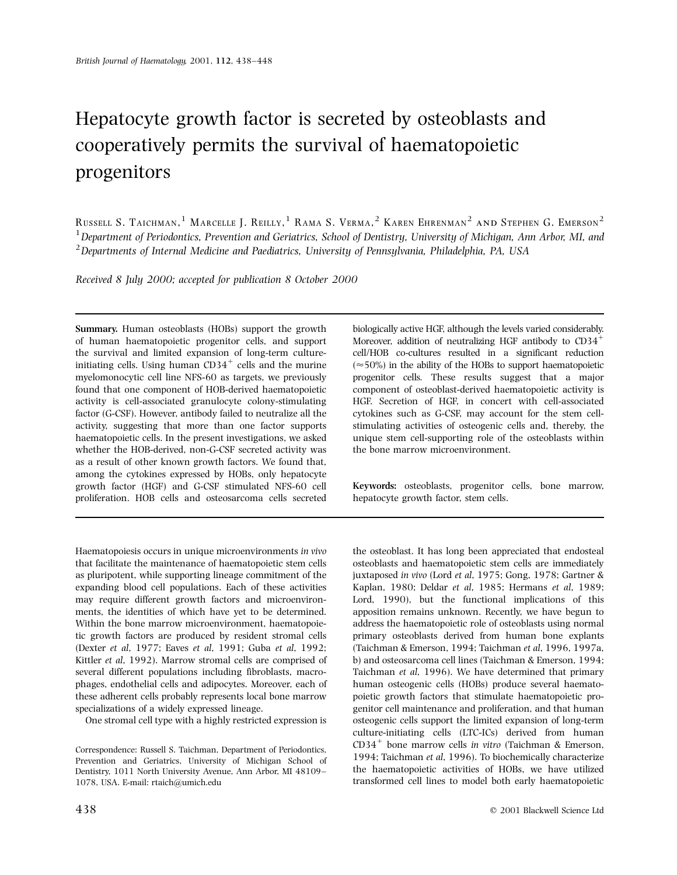# Hepatocyte growth factor is secreted by osteoblasts and cooperatively permits the survival of haematopoietic progenitors

Russell S. Taichman, $^1$  Marcelle J. Reilly, $^1$  Rama S. Verma, $^2$  Karen Ehrenman $^2$  and Stephen G. Emerson $^2$  $1$  Department of Periodontics, Prevention and Geriatrics, School of Dentistry, University of Michigan, Ann Arbor, MI, and  $2$ Departments of Internal Medicine and Paediatrics, University of Pennsylvania, Philadelphia, PA, USA

Received 8 July 2000; accepted for publication 8 October 2000

Summary. Human osteoblasts (HOBs) support the growth of human haematopoietic progenitor cells, and support the survival and limited expansion of long-term cultureinitiating cells. Using human  $CD34^+$  cells and the murine myelomonocytic cell line NFS-60 as targets, we previously found that one component of HOB-derived haematopoietic activity is cell-associated granulocyte colony-stimulating factor (G-CSF). However, antibody failed to neutralize all the activity, suggesting that more than one factor supports haematopoietic cells. In the present investigations, we asked whether the HOB-derived, non-G-CSF secreted activity was as a result of other known growth factors. We found that, among the cytokines expressed by HOBs, only hepatocyte growth factor (HGF) and G-CSF stimulated NFS-60 cell proliferation. HOB cells and osteosarcoma cells secreted

Haematopoiesis occurs in unique microenvironments in vivo that facilitate the maintenance of haematopoietic stem cells as pluripotent, while supporting lineage commitment of the expanding blood cell populations. Each of these activities may require different growth factors and microenvironments, the identities of which have yet to be determined. Within the bone marrow microenvironment, haematopoietic growth factors are produced by resident stromal cells (Dexter et al, 1977; Eaves et al, 1991; Guba et al, 1992; Kittler et al, 1992). Marrow stromal cells are comprised of several different populations including fibroblasts, macrophages, endothelial cells and adipocytes. Moreover, each of these adherent cells probably represents local bone marrow specializations of a widely expressed lineage.

One stromal cell type with a highly restricted expression is

Correspondence: Russell S. Taichman, Department of Periodontics, Prevention and Geriatrics, University of Michigan School of Dentistry, 1011 North University Avenue, Ann Arbor, MI 48109-1078, USA. E-mail: rtaich@umich.edu

biologically active HGF, although the levels varied considerably. Moreover, addition of neutralizing HGF antibody to  $CD34<sup>+</sup>$ cell/HOB co-cultures resulted in a significant reduction  $(\approx 50\%)$  in the ability of the HOBs to support haematopoietic progenitor cells. These results suggest that a major component of osteoblast-derived haematopoietic activity is HGF. Secretion of HGF, in concert with cell-associated cytokines such as G-CSF, may account for the stem cellstimulating activities of osteogenic cells and, thereby, the unique stem cell-supporting role of the osteoblasts within the bone marrow microenvironment.

Keywords: osteoblasts, progenitor cells, bone marrow, hepatocyte growth factor, stem cells.

the osteoblast. It has long been appreciated that endosteal osteoblasts and haematopoietic stem cells are immediately juxtaposed in vivo (Lord et al, 1975; Gong, 1978; Gartner & Kaplan, 1980; Deldar et al, 1985; Hermans et al, 1989; Lord, 1990), but the functional implications of this apposition remains unknown. Recently, we have begun to address the haematopoietic role of osteoblasts using normal primary osteoblasts derived from human bone explants (Taichman & Emerson, 1994; Taichman et al, 1996, 1997a, b) and osteosarcoma cell lines (Taichman & Emerson, 1994; Taichman et al, 1996). We have determined that primary human osteogenic cells (HOBs) produce several haematopoietic growth factors that stimulate haematopoietic progenitor cell maintenance and proliferation, and that human osteogenic cells support the limited expansion of long-term culture-initiating cells (LTC-ICs) derived from human CD34<sup>+</sup> bone marrow cells in vitro (Taichman & Emerson, 1994; Taichman et al, 1996). To biochemically characterize the haematopoietic activities of HOBs, we have utilized transformed cell lines to model both early haematopoietic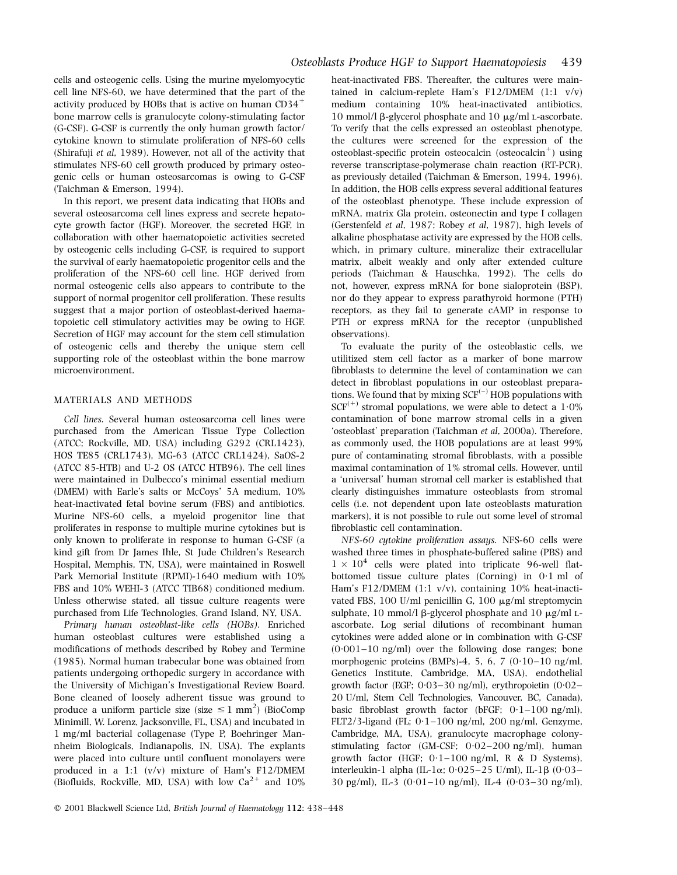cells and osteogenic cells. Using the murine myelomyocytic cell line NFS-60, we have determined that the part of the activity produced by HOBs that is active on human  $CD34^+$ bone marrow cells is granulocyte colony-stimulating factor (G-CSF). G-CSF is currently the only human growth factor/ cytokine known to stimulate proliferation of NFS-60 cells (Shirafuji et al, 1989). However, not all of the activity that stimulates NFS-60 cell growth produced by primary osteogenic cells or human osteosarcomas is owing to G-CSF (Taichman & Emerson, 1994).

In this report, we present data indicating that HOBs and several osteosarcoma cell lines express and secrete hepatocyte growth factor (HGF). Moreover, the secreted HGF, in collaboration with other haematopoietic activities secreted by osteogenic cells including G-CSF, is required to support the survival of early haematopoietic progenitor cells and the proliferation of the NFS-60 cell line. HGF derived from normal osteogenic cells also appears to contribute to the support of normal progenitor cell proliferation. These results suggest that a major portion of osteoblast-derived haematopoietic cell stimulatory activities may be owing to HGF. Secretion of HGF may account for the stem cell stimulation of osteogenic cells and thereby the unique stem cell supporting role of the osteoblast within the bone marrow microenvironment.

#### MATERIALS AND METHODS

Cell lines. Several human osteosarcoma cell lines were purchased from the American Tissue Type Collection (ATCC; Rockville, MD, USA) including G292 (CRL1423), HOS TE85 (CRL1743), MG-63 (ATCC CRL1424), SaOS-2 (ATCC 85-HTB) and U-2 OS (ATCC HTB96). The cell lines were maintained in Dulbecco's minimal essential medium (DMEM) with Earle's salts or McCoys' 5A medium, 10% heat-inactivated fetal bovine serum (FBS) and antibiotics. Murine NFS-60 cells, a myeloid progenitor line that proliferates in response to multiple murine cytokines but is only known to proliferate in response to human G-CSF (a kind gift from Dr James Ihle, St Jude Children's Research Hospital, Memphis, TN, USA), were maintained in Roswell Park Memorial Institute (RPMI)-1640 medium with 10% FBS and 10% WEHI-3 (ATCC TIB68) conditioned medium. Unless otherwise stated, all tissue culture reagents were purchased from Life Technologies, Grand Island, NY, USA.

Primary human osteoblast-like cells (HOBs). Enriched human osteoblast cultures were established using a modifications of methods described by Robey and Termine (1985). Normal human trabecular bone was obtained from patients undergoing orthopedic surgery in accordance with the University of Michigan's Investigational Review Board. Bone cleaned of loosely adherent tissue was ground to produce a uniform particle size (size  $\leq 1$  mm<sup>2</sup>) (BioComp Minimill, W. Lorenz, Jacksonville, FL, USA) and incubated in 1 mg/ml bacterial collagenase (Type P, Boehringer Mannheim Biologicals, Indianapolis, IN, USA). The explants were placed into culture until confluent monolayers were produced in a 1:1  $(v/v)$  mixture of Ham's F12/DMEM (Biofluids, Rockville, MD, USA) with low  $Ca^{2+}$  and 10%

heat-inactivated FBS. Thereafter, the cultures were maintained in calcium-replete Ham's F12/DMEM (1:1 v/v) medium containing 10% heat-inactivated antibiotics, 10 mmol/l β-glycerol phosphate and 10  $\mu$ g/ml L-ascorbate. To verify that the cells expressed an osteoblast phenotype, the cultures were screened for the expression of the osteoblast-specific protein osteocalcin (osteocalcin<sup>+</sup>) using reverse transcriptase-polymerase chain reaction (RT-PCR), as previously detailed (Taichman & Emerson, 1994, 1996). In addition, the HOB cells express several additional features of the osteoblast phenotype. These include expression of mRNA, matrix Gla protein, osteonectin and type I collagen (Gerstenfeld et al, 1987; Robey et al, 1987), high levels of alkaline phosphatase activity are expressed by the HOB cells, which, in primary culture, mineralize their extracellular matrix, albeit weakly and only after extended culture periods (Taichman & Hauschka, 1992). The cells do not, however, express mRNA for bone sialoprotein (BSP), nor do they appear to express parathyroid hormone (PTH) receptors, as they fail to generate cAMP in response to PTH or express mRNA for the receptor (unpublished observations).

To evaluate the purity of the osteoblastic cells, we utilitized stem cell factor as a marker of bone marrow fibroblasts to determine the level of contamination we can detect in fibroblast populations in our osteoblast preparations. We found that by mixing  $SCF^{(-)}$  HOB populations with  $SCF^{(+)}$  stromal populations, we were able to detect a 1.0% contamination of bone marrow stromal cells in a given `osteoblast' preparation (Taichman et al, 2000a). Therefore, as commonly used, the HOB populations are at least 99% pure of contaminating stromal fibroblasts, with a possible maximal contamination of 1% stromal cells. However, until a `universal' human stromal cell marker is established that clearly distinguishes immature osteoblasts from stromal cells (i.e. not dependent upon late osteoblasts maturation markers), it is not possible to rule out some level of stromal fibroblastic cell contamination.

NFS-60 cytokine proliferation assays. NFS-60 cells were washed three times in phosphate-buffered saline (PBS) and  $1 \times 10^4$  cells were plated into triplicate 96-well flatbottomed tissue culture plates (Corning) in  $0.1$  ml of Ham's F12/DMEM (1:1 v/v), containing 10% heat-inactivated FBS, 100 U/ml penicillin G, 100  $\mu$ g/ml streptomycin sulphate, 10 mmol/l  $\beta$ -glycerol phosphate and 10  $\mu$ g/ml Lascorbate. Log serial dilutions of recombinant human cytokines were added alone or in combination with G-CSF  $(0.001-10 \text{ ng/ml})$  over the following dose ranges; bone morphogenic proteins (BMPs)-4, 5, 6, 7 (0 $\cdot$ 10-10 ng/ml, Genetics Institute, Cambridge, MA, USA), endothelial growth factor (EGF;  $0.03-30$  ng/ml), erythropoietin  $(0.02-$ 20 U/ml, Stem Cell Technologies, Vancouver, BC, Canada), basic fibroblast growth factor (bFGF;  $0.1-100$  ng/ml), FLT2/3-ligand (FL;  $0.1-100$  ng/ml, 200 ng/ml, Genzyme, Cambridge, MA, USA), granulocyte macrophage colonystimulating factor (GM-CSF;  $0.02-200$  ng/ml), human growth factor (HGF;  $0.1-100$  ng/ml, R & D Systems), interleukin-1 alpha (IL-1 $\alpha$ ; 0<sup>o</sup>025-25 U/ml), IL-1 $\beta$  (0<sup>o</sup>03-30 pg/ml), IL-3  $(0.01-10 \text{ ng/ml})$ , IL-4  $(0.03-30 \text{ ng/ml})$ ,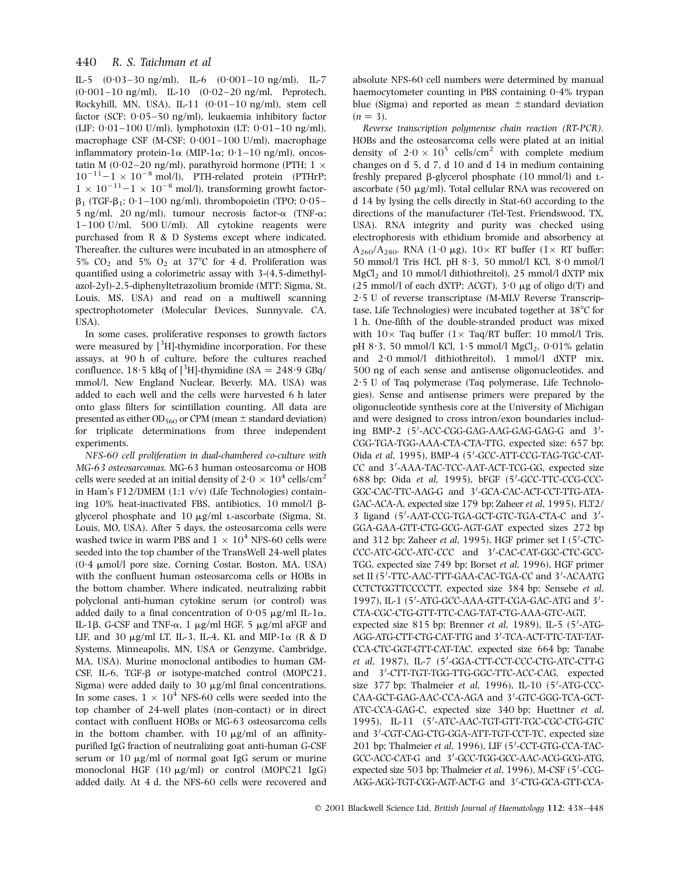# 440 R. S. Taichman et al

IL-5  $(0.03-30 \text{ ng/ml})$ , IL-6  $(0.001-10 \text{ ng/ml})$ , IL-7  $(0.001-10 \text{ ng/ml})$ , IL-10  $(0.02-20 \text{ ng/ml})$ , Peprotech, Rockyhill, MN, USA), IL-11  $(0.01-10 \text{ ng/ml})$ , stem cell factor (SCF;  $0.05-50$  ng/ml), leukaemia inhibitory factor (LIF;  $0.01-100$  U/ml), lymphotoxin (LT;  $0.01-10$  ng/ml), macrophage CSF (M-CSF;  $0.001-100$  U/ml), macrophage inflammatory protein-1 $\alpha$  (MIP-1 $\alpha$ ; 0·1-10 ng/ml), oncostatin M (0·02-20 ng/ml), parathyroid hormone (PTH; 1  $\times$  $10^{-11} - 1 \times 10^{-8}$  mol/l), PTH-related protein (PTHrP;  $1 \times 10^{-11} - 1 \times 10^{-8}$  mol/l), transforming growht factor- $\beta_1$  (TGF- $\beta_1$ ; 0 $\cdot$ 1–100 ng/ml), thrombopoietin (TPO; 0 $\cdot$ 05– 5 ng/ml, 20 ng/ml), tumour necrosis factor- $\alpha$  (TNF- $\alpha$ ;  $1-100$  U/ml, 500 U/ml). All cytokine reagents were purchased from R & D Systems except where indicated. Thereafter, the cultures were incubated in an atmosphere of 5%  $CO<sub>2</sub>$  and 5%  $O<sub>2</sub>$  at 37°C for 4 d. Proliferation was quantified using a colorimetric assay with 3-(4,5-dimethylazol-2yl)-2,5-diphenyltetrazolium bromide (MTT; Sigma, St. Louis, MS, USA) and read on a multiwell scanning spectrophotometer (Molecular Devices, Sunnyvale, CA, USA).

In some cases, proliferative responses to growth factors were measured by  $[3H]$ -thymidine incorporation. For these assays, at 90 h of culture, before the cultures reached confluence,  $18.5$  kBq of  $\lceil \frac{3}{H} \rceil$ -thymidine (SA = 248.9 GBq/ mmol/l, New England Nuclear, Beverly, MA, USA) was added to each well and the cells were harvested 6 h later onto glass filters for scintillation counting. All data are presented as either  $OD_{560}$  or CPM (mean  $\pm$  standard deviation) for triplicate determinations from three independent experiments.

NFS-60 cell proliferation in dual-chambered co-culture with MG-63 osteosarcomas. MG-63 human osteosarcoma or HOB cells were seeded at an initial density of 2 $\cdot$  0  $\times$   $\,10^4$  cells/cm $^2$ in Ham's F12/DMEM (1:1 v/v) (Life Technologies) containing 10% heat-inactivated FBS, antibiotics, 10 mmol/l  $\beta$ glycerol phosphate and  $10 \mu g/ml$  L-ascorbate (Sigma, St. Louis, MO, USA). After 5 days, the osteosarcoma cells were washed twice in warm PBS and  $1 \times 10^4$  NFS-60 cells were seeded into the top chamber of the TransWell 24-well plates (0´4 mmol/l pore size, Corning Costar, Boston, MA, USA) with the confluent human osteosarcoma cells or HOBs in the bottom chamber. Where indicated, neutralizing rabbit polyclonal anti-human cytokine serum (or control) was added daily to a final concentration of  $0.05 \mu g/ml$  IL-1 $\alpha$ , IL-1 $\beta$ , G-CSF and TNF- $\alpha$ , 1 µg/ml HGF, 5 µg/ml aFGF and LIF, and 30  $\mu$ g/ml LT, IL-3, IL-4, KL and MIP-1 $\alpha$  (R & D Systems, Minneapolis, MN, USA or Genzyme, Cambridge, MA, USA). Murine monoclonal antibodies to human GM-CSF, IL-6, TGF- $\beta$  or isotype-matched control (MOPC21, Sigma) were added daily to 30  $\mu$ g/ml final concentrations. In some cases,  $1 \times 10^4$  NFS-60 cells were seeded into the top chamber of 24-well plates (non-contact) or in direct contact with confluent HOBs or MG-63 osteosarcoma cells in the bottom chamber, with  $10 \mu g/ml$  of an affinitypurified IgG fraction of neutralizing goat anti-human G-CSF serum or  $10 \mu g/ml$  of normal goat IgG serum or murine monoclonal HGF  $(10 \mu g/ml)$  or control  $(MOPC21 \lg G)$ added daily. At 4 d, the NFS-60 cells were recovered and absolute NFS-60 cell numbers were determined by manual haemocytometer counting in PBS containing  $0.4\%$  trypan blue (Sigma) and reported as mean  $\pm$  standard deviation  $(n = 3)$ .

Reverse transcription polymerase chain reaction (RT-PCR). HOBs and the osteosarcoma cells were plated at an initial density of  $2.0 \times 10^5$  cells/cm<sup>2</sup> with complete medium changes on d 5, d 7, d 10 and d 14 in medium containing freshly prepared  $\beta$ -glycerol phosphate (10 mmol/l) and Lascorbate (50  $\mu$ g/ml). Total cellular RNA was recovered on d 14 by lysing the cells directly in Stat-60 according to the directions of the manufacturer (Tel-Test, Friendswood, TX, USA). RNA integrity and purity was checked using electrophoresis with ethidium bromide and absorbency at  $A_{260}/A_{280}$ . RNA (1·0 µg), 10× RT buffer (1× RT buffer: 50 mmol/l Tris HCl, pH 8´3, 50 mmol/l KCl, 8´0 mmol/l MgCl<sup>2</sup> and 10 mmol/l dithiothreitol), 25 mmol/l dXTP mix (25 mmol/l of each dXTP; ACGT),  $3.0 \mu$ g of oligo d(T) and  $2·5$  U of reverse transcriptase (M-MLV Reverse Transcriptase, Life Technologies) were incubated together at  $38^{\circ}$ C for 1 h. One-fifth of the double-stranded product was mixed with  $10\times$  Taq buffer  $(1\times$  Taq/RT buffer: 10 mmol/l Tris, pH 8 $\cdot$ 3, 50 mmol/l KCl, 1 $\cdot$ 5 mmol/l MgCl<sub>2</sub>, 0 $\cdot$ 01% gelatin and 2´0 mmol/l dithiothreitol), 1 mmol/l dXTP mix, 500 ng of each sense and antisense oligonucleotides, and 2´5 U of Taq polymerase (Taq polymerase, Life Technologies). Sense and antisense primers were prepared by the oligonucleotide synthesis core at the University of Michigan and were designed to cross intron/exon boundaries including BMP-2 (5'-ACC-CGG-GAG-AAG-GAG-GAG-G and 3'-CGG-TGA-TGG-AAA-CTA-CTA-TTG, expected size: 657 bp; Oida et al, 1995), BMP-4 (5'-GCC-ATT-CCG-TAG-TGC-CAT-CC and 3'-AAA-TAC-TCC-AAT-ACT-TCG-GG, expected size 688 bp; Oida et al, 1995), bFGF (5'-GCC-TTC-CCG-CCC-GGC-CAC-TTC-AAG-G and 3'-GCA-CAC-ACT-CCT-TTG-ATA-GAC-ACA-A, expected size 179 bp; Zaheer et al, 1995), FLT2/ 3 ligand (5'-AAT-CCG-TGA-GCT-GTC-TGA-CTA-C and 3'-GGA-GAA-GTT-CTG-GCG-AGT-GAT expected sizes 272 bp and 312 bp; Zaheer et al, 1995), HGF primer set I  $(5'-CTC -$ CCC-ATC-GCC-ATC-CCC and 3'-CAC-CAT-GGC-CTC-GCC-TGG, expected size 749 bp; Borset et al, 1996), HGF primer set II (5<sup>7</sup>-TTC-AAC-TTT-GAA-CAC-TGA-CC and 3'-ACAATG CCTCTGGTTCCCCTT, expected size 384 bp; Sensebe et al, 1997), IL-1 (5'-ATG-GCC-AAA-GTT-CGA-GAC-ATG and 3'-CTA-CGC-CTG-GTT-TTC-CAG-TAT-CTG-AAA-GTC-AGT, expected size  $815$  bp; Brenner et al, 1989), IL-5 (5'-ATG-AGG-ATG-CTT-CTG-CAT-TTG and 3'-TCA-ACT-TTC-TAT-TAT-CCA-CTC-GGT-GTT-CAT-TAC, expected size 664 bp; Tanabe et al, 1987), IL-7 (5'-GGA-CTT-CCT-CCC-CTG-ATC-CTT-G and 3'-CTT-TGT-TGG-TTG-GGC-TTC-ACC-CAG, expected size 377 bp; Thalmeier et al, 1996), IL-10 (5'-ATG-CCC-CAA-GCT-GAG-AAC-CCA-AGA and 3'-GTC-GGG-TCA-GCT-ATC-CCA-GAG-C, expected size 340 bp; Huettner et al, 1995), IL-11 (5'-ATC-AAC-TGT-GTT-TGC-CGC-CTG-GTC and 3'-CGT-CAG-CTG-GGA-ATT-TGT-CCT-TC, expected size 201 bp; Thalmeier et al, 1996), LIF (5'-CCT-GTG-CCA-TAC-GCC-ACC-CAT-G and 3'-GCC-TGG-GCC-AAC-ACG-GCG-ATG, expected size 503 bp; Thalmeier et al, 1996), M-CSF (5'-CCG-AGG-AGG-TGT-CGG-AGT-ACT-G and 3'-CTG-GCA-GTT-CCA-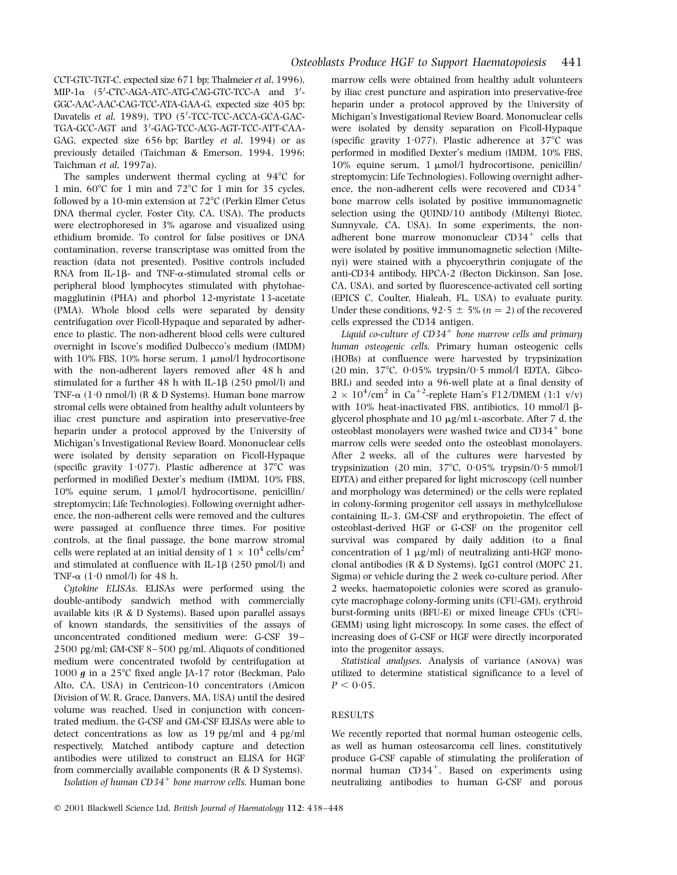CCT-GTC-TGT-C, expected size 671 bp; Thalmeier et al, 1996),  $MIP-1\alpha$  (5'-CTC-AGA-ATC-ATG-CAG-GTC-TCC-A and 3'-GGC-AAC-AAC-CAG-TCC-ATA-GAA-G, expected size 405 bp; Davatelis et al, 1989), TPO (5'-TCC-TCC-ACCA-GCA-GAC-TGA-GCC-AGT and 3'-GAG-TCC-ACG-AGT-TCC-ATT-CAA-GAG, expected size 656 bp; Bartley et al, 1994) or as previously detailed (Taichman & Emerson, 1994, 1996; Taichman et al, 1997a).

The samples underwent thermal cycling at  $94^{\circ}$ C for 1 min,  $60^{\circ}$ C for 1 min and  $72^{\circ}$ C for 1 min for 35 cycles, followed by a 10-min extension at  $72^{\circ}$ C (Perkin Elmer Cetus DNA thermal cycler, Foster City, CA, USA). The products were electrophoresed in 3% agarose and visualized using ethidium bromide. To control for false positives or DNA contamination, reverse transcriptase was omitted from the reaction (data not presented). Positive controls included RNA from IL-1 $\beta$ - and TNF- $\alpha$ -stimulated stromal cells or peripheral blood lymphocytes stimulated with phytohaemagglutinin (PHA) and phorbol 12-myristate 13-acetate (PMA). Whole blood cells were separated by density centrifugation over Ficoll-Hypaque and separated by adherence to plastic. The non-adherent blood cells were cultured overnight in Iscove's modified Dulbecco's medium (IMDM) with  $10\%$  FBS,  $10\%$  horse serum, 1  $\mu$ mol/l hydrocortisone with the non-adherent layers removed after 48 h and stimulated for a further  $48$  h with IL-1 $\beta$  (250 pmol/l) and TNF- $\alpha$  (1<sup>.</sup>0 nmol/l) (R & D Systems). Human bone marrow stromal cells were obtained from healthy adult volunteers by iliac crest puncture and aspiration into preservative-free heparin under a protocol approved by the University of Michigan's Investigational Review Board. Mononuclear cells were isolated by density separation on Ficoll-Hypaque (specific gravity 1<sup>.</sup>077). Plastic adherence at  $37^{\circ}$ C was performed in modified Dexter's medium (IMDM, 10% FBS, 10% equine serum, 1  $\mu$ mol/l hydrocortisone, penicillin/ streptomycin; Life Technologies). Following overnight adherence, the non-adherent cells were removed and the cultures were passaged at confluence three times. For positive controls, at the final passage, the bone marrow stromal cells were replated at an initial density of  $1\times10^4$  cells/cm<sup>2</sup> and stimulated at confluence with IL-1 $\beta$  (250 pmol/l) and TNF- $\alpha$  (1.0 nmol/l) for 48 h.

Cytokine ELISAs. ELISAs were performed using the double-antibody sandwich method with commercially available kits (R & D Systems). Based upon parallel assays of known standards, the sensitivities of the assays of unconcentrated conditioned medium were: G-CSF 39-2500 pg/ml; GM-CSF 8-500 pg/ml. Aliquots of conditioned medium were concentrated twofold by centrifugation at 1000  $g$  in a 25°C fixed angle JA-17 rotor (Beckman, Palo Alto, CA, USA) in Centricon-10 concentrators (Amicon Division of W. R. Grace, Danvers, MA, USA) until the desired volume was reached. Used in conjunction with concentrated medium, the G-CSF and GM-CSF ELISAs were able to detect concentrations as low as 19 pg/ml and 4 pg/ml respectively. Matched antibody capture and detection antibodies were utilized to construct an ELISA for HGF from commercially available components (R & D Systems).

Isolation of human  $CD34^+$  bone marrow cells. Human bone

marrow cells were obtained from healthy adult volunteers by iliac crest puncture and aspiration into preservative-free heparin under a protocol approved by the University of Michigan's Investigational Review Board. Mononuclear cells were isolated by density separation on Ficoll-Hypaque (specific gravity 1 $\cdot$ 077). Plastic adherence at 37°C was performed in modified Dexter's medium (IMDM, 10% FBS, 10% equine serum, 1 μmol/l hydrocortisone, penicillin/ streptomycin; Life Technologies). Following overnight adherence, the non-adherent cells were recovered and  $CD34<sup>+</sup>$ bone marrow cells isolated by positive immunomagnetic selection using the QUIND/10 antibody (Miltenyi Biotec, Sunnyvale, CA, USA). In some experiments, the nonadherent bone marrow mononuclear  $CD34^+$  cells that were isolated by positive immunomagnetic selection (Miltenyi) were stained with a phycoerythrin conjugate of the anti-CD34 antibody, HPCA-2 (Becton Dickinson, San Jose, CA, USA), and sorted by fluorescence-activated cell sorting (EPICS C, Coulter, Hialeah, FL, USA) to evaluate purity. Under these conditions,  $92.5 \pm 5\%$  (n = 2) of the recovered cells expressed the CD34 antigen.

Liquid co-culture of  $CD34^+$  bone marrow cells and primary human osteogenic cells. Primary human osteogenic cells (HOBs) at confluence were harvested by trypsinization  $(20 \text{ min}, 37^{\circ}\text{C}, 0.05\%$  trypsin/ $0.5 \text{ mmol/l}$  EDTA, Gibco-BRL) and seeded into a 96-well plate at a final density of  $2 \times 10^4$ /cm<sup>2</sup> in Ca<sup>+2</sup>-replete Ham's F12/DMEM (1:1 v/v) with 10% heat-inactivated FBS, antibiotics, 10 mmol/l  $\beta$ glycerol phosphate and  $10 \mu g/ml$  L-ascorbate. After 7 d, the  $\frac{1}{2}$ osteoblast monolayers were washed twice and CD34<sup>+</sup> bone marrow cells were seeded onto the osteoblast monolayers. After 2 weeks, all of the cultures were harvested by trypsinization (20 min,  $37^{\circ}$ C, 0<sup>.</sup>05% trypsin/0<sup>.5</sup> mmol/l EDTA) and either prepared for light microscopy (cell number and morphology was determined) or the cells were replated in colony-forming progenitor cell assays in methylcellulose containing IL-3, GM-CSF and erythropoietin. The effect of osteoblast-derived HGF or G-CSF on the progenitor cell survival was compared by daily addition (to a final concentration of  $1 \mu g/ml$ ) of neutralizing anti-HGF monoclonal antibodies (R & D Systems), IgG1 control (MOPC 21, Sigma) or vehicle during the 2 week co-culture period. After 2 weeks, haematopoietic colonies were scored as granulocyte macrophage colony-forming units (CFU-GM), erythroid burst-forming units (BFU-E) or mixed lineage CFUs (CFU-GEMM) using light microscopy. In some cases, the effect of increasing does of G-CSF or HGF were directly incorporated into the progenitor assays.

Statistical analyses. Analysis of variance (anova) was utilized to determine statistical significance to a level of  $P < 0.05$ .

#### RESULTS

We recently reported that normal human osteogenic cells, as well as human osteosarcoma cell lines, constitutively produce G-CSF capable of stimulating the proliferation of normal human CD34<sup>+</sup>. Based on experiments using neutralizing antibodies to human G-CSF and porous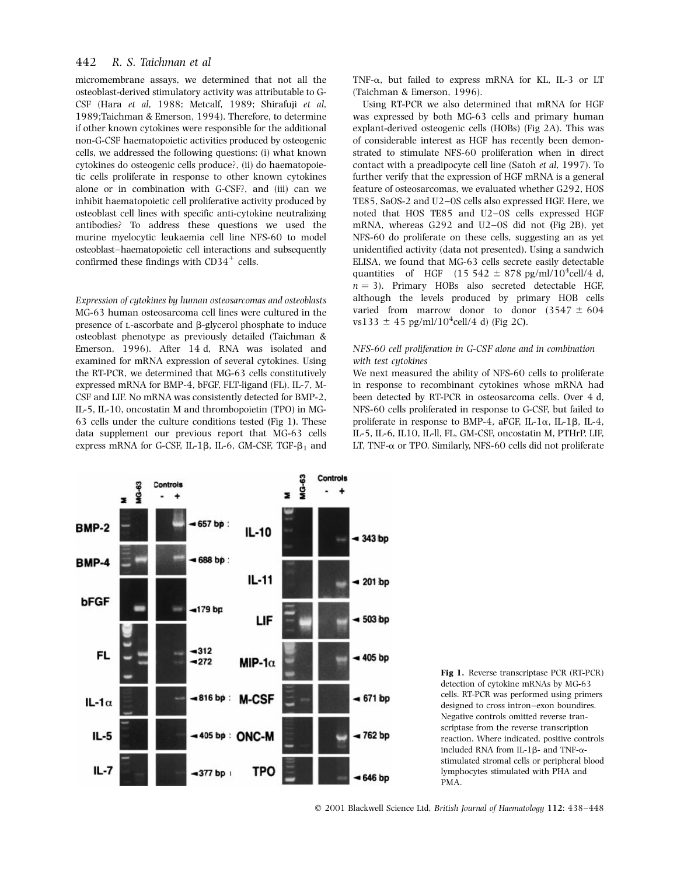# 442 R. S. Taichman et al

micromembrane assays, we determined that not all the osteoblast-derived stimulatory activity was attributable to G-CSF (Hara et al, 1988; Metcalf, 1989; Shirafuji et al, 1989;Taichman & Emerson, 1994). Therefore, to determine if other known cytokines were responsible for the additional non-G-CSF haematopoietic activities produced by osteogenic cells, we addressed the following questions: (i) what known cytokines do osteogenic cells produce?, (ii) do haematopoietic cells proliferate in response to other known cytokines alone or in combination with G-CSF?, and (iii) can we inhibit haematopoietic cell proliferative activity produced by osteoblast cell lines with specific anti-cytokine neutralizing antibodies? To address these questions we used the murine myelocytic leukaemia cell line NFS-60 to model osteoblast-haematopoietic cell interactions and subsequently confirmed these findings with  $CD34^+$  cells.

Expression of cytokines by human osteosarcomas and osteoblasts MG-63 human osteosarcoma cell lines were cultured in the presence of L-ascorbate and  $\beta$ -glycerol phosphate to induce osteoblast phenotype as previously detailed (Taichman & Emerson, 1996). After 14 d, RNA was isolated and examined for mRNA expression of several cytokines. Using the RT-PCR, we determined that MG-63 cells constitutively expressed mRNA for BMP-4, bFGF, FLT-ligand (FL), IL-7, M-CSF and LIF. No mRNA was consistently detected for BMP-2, IL-5, IL-10, oncostatin M and thrombopoietin (TPO) in MG-63 cells under the culture conditions tested (Fig 1). These data supplement our previous report that MG-63 cells express mRNA for G-CSF, IL-1 $\beta$ , IL-6, GM-CSF, TGF- $\beta_1$  and TNF-a, but failed to express mRNA for KL, IL-3 or LT (Taichman & Emerson, 1996).

Using RT-PCR we also determined that mRNA for HGF was expressed by both MG-63 cells and primary human explant-derived osteogenic cells (HOBs) (Fig 2A). This was of considerable interest as HGF has recently been demonstrated to stimulate NFS-60 proliferation when in direct contact with a preadipocyte cell line (Satoh et al, 1997). To further verify that the expression of HGF mRNA is a general feature of osteosarcomas, we evaluated whether G292, HOS TE85, SaOS-2 and U2-0S cells also expressed HGF. Here, we noted that HOS TE85 and U2-0S cells expressed HGF mRNA, whereas  $G292$  and  $U2-OS$  did not (Fig 2B), yet NFS-60 do proliferate on these cells, suggesting an as yet unidentified activity (data not presented). Using a sandwich ELISA, we found that MG-63 cells secrete easily detectable quantities of HGF  $(15\;542 \pm 878 \; \text{pg/ml}/10^4 \text{cell}/4 \; \text{d}$ ,  $n = 3$ ). Primary HOBs also secreted detectable HGF, although the levels produced by primary HOB cells varied from marrow donor to donor  $(3547 \pm 604)$  $vs133 \pm 45$  pg/ml/10<sup>4</sup>cell/4 d) (Fig 2C).

#### NFS-60 cell proliferation in G-CSF alone and in combination with test cytokines

We next measured the ability of NFS-60 cells to proliferate in response to recombinant cytokines whose mRNA had been detected by RT-PCR in osteosarcoma cells. Over 4 d, NFS-60 cells proliferated in response to G-CSF, but failed to proliferate in response to BMP-4, aFGF, IL-1 $\alpha$ , IL-1 $\beta$ , IL-4, IL-5, IL-6, IL10, IL-ll, FL, GM-CSF, oncostatin M, PTHrP, LIF, LT, TNF- $\alpha$  or TPO. Similarly, NFS-60 cells did not proliferate





© 2001 Blackwell Science Ltd, British Journal of Haematology 112: 438-448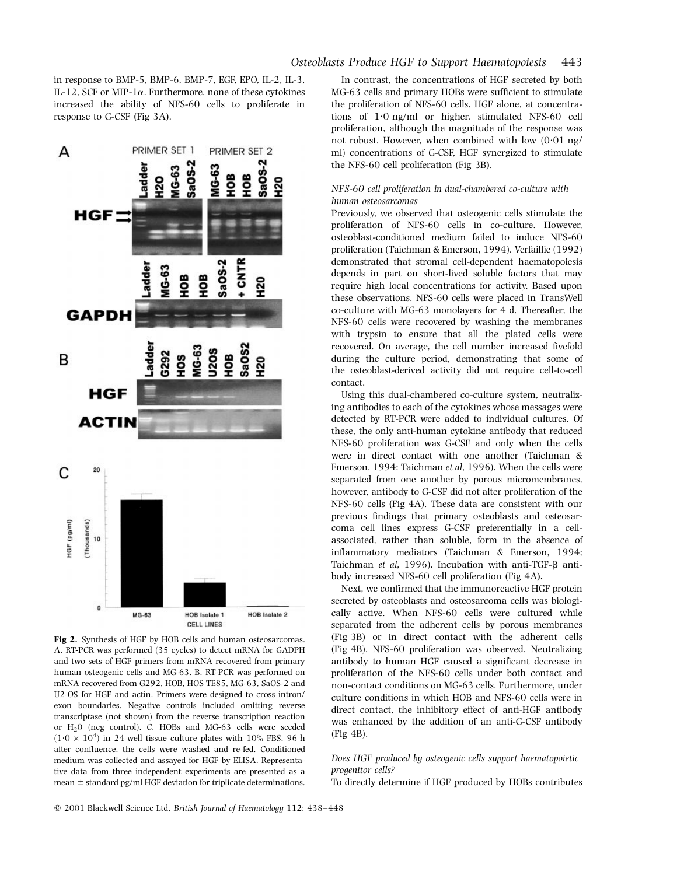in response to BMP-5, BMP-6, BMP-7, EGF, EPO, IL-2, IL-3, IL-12, SCF or MIP-1 $\alpha$ . Furthermore, none of these cytokines increased the ability of NFS-60 cells to proliferate in response to G-CSF (Fig 3A).



Fig 2. Synthesis of HGF by HOB cells and human osteosarcomas. A. RT-PCR was performed (35 cycles) to detect mRNA for GADPH and two sets of HGF primers from mRNA recovered from primary human osteogenic cells and MG-63. B. RT-PCR was performed on mRNA recovered from G292, HOB, HOS TE85, MG-63, SaOS-2 and U2-OS for HGF and actin. Primers were designed to cross intron/ exon boundaries. Negative controls included omitting reverse transcriptase (not shown) from the reverse transcription reaction or H20 (neg control). C. HOBs and MG-63 cells were seeded  $(1.0 \times 10^4)$  in 24-well tissue culture plates with 10% FBS. 96 h after confluence, the cells were washed and re-fed. Conditioned medium was collected and assayed for HGF by ELISA. Representative data from three independent experiments are presented as a mean  $\pm$  standard pg/ml HGF deviation for triplicate determinations.

# Osteoblasts Produce HGF to Support Haematopoiesis 443

In contrast, the concentrations of HGF secreted by both MG-63 cells and primary HOBs were sufficient to stimulate the proliferation of NFS-60 cells. HGF alone, at concentrations of  $1.0$  ng/ml or higher, stimulated NFS-60 cell proliferation, although the magnitude of the response was not robust. However, when combined with low  $(0.01 \text{ ng/m})$ ml) concentrations of G-CSF, HGF synergized to stimulate the NFS-60 cell proliferation (Fig 3B).

## NFS-60 cell proliferation in dual-chambered co-culture with human osteosarcomas

Previously, we observed that osteogenic cells stimulate the proliferation of NFS-60 cells in co-culture. However, osteoblast-conditioned medium failed to induce NFS-60 proliferation (Taichman & Emerson, 1994). Verfaillie (1992) demonstrated that stromal cell-dependent haematopoiesis depends in part on short-lived soluble factors that may require high local concentrations for activity. Based upon these observations, NFS-60 cells were placed in TransWell co-culture with MG-63 monolayers for 4 d. Thereafter, the NFS-60 cells were recovered by washing the membranes with trypsin to ensure that all the plated cells were recovered. On average, the cell number increased fivefold during the culture period, demonstrating that some of the osteoblast-derived activity did not require cell-to-cell contact.

Using this dual-chambered co-culture system, neutralizing antibodies to each of the cytokines whose messages were detected by RT-PCR were added to individual cultures. Of these, the only anti-human cytokine antibody that reduced NFS-60 proliferation was G-CSF and only when the cells were in direct contact with one another (Taichman & Emerson, 1994; Taichman et al, 1996). When the cells were separated from one another by porous micromembranes, however, antibody to G-CSF did not alter proliferation of the NFS-60 cells (Fig 4A). These data are consistent with our previous findings that primary osteoblasts and osteosarcoma cell lines express G-CSF preferentially in a cellassociated, rather than soluble, form in the absence of inflammatory mediators (Taichman & Emerson, 1994; Taichman et al, 1996). Incubation with anti-TGF- $\beta$  antibody increased NFS-60 cell proliferation (Fig 4A).

Next, we confirmed that the immunoreactive HGF protein secreted by osteoblasts and osteosarcoma cells was biologically active. When NFS-60 cells were cultured while separated from the adherent cells by porous membranes (Fig 3B) or in direct contact with the adherent cells (Fig 4B), NFS-60 proliferation was observed. Neutralizing antibody to human HGF caused a significant decrease in proliferation of the NFS-60 cells under both contact and non-contact conditions on MG-63 cells. Furthermore, under culture conditions in which HOB and NFS-60 cells were in direct contact, the inhibitory effect of anti-HGF antibody was enhanced by the addition of an anti-G-CSF antibody (Fig 4B).

# Does HGF produced by osteogenic cells support haematopoietic progenitor cells?

To directly determine if HGF produced by HOBs contributes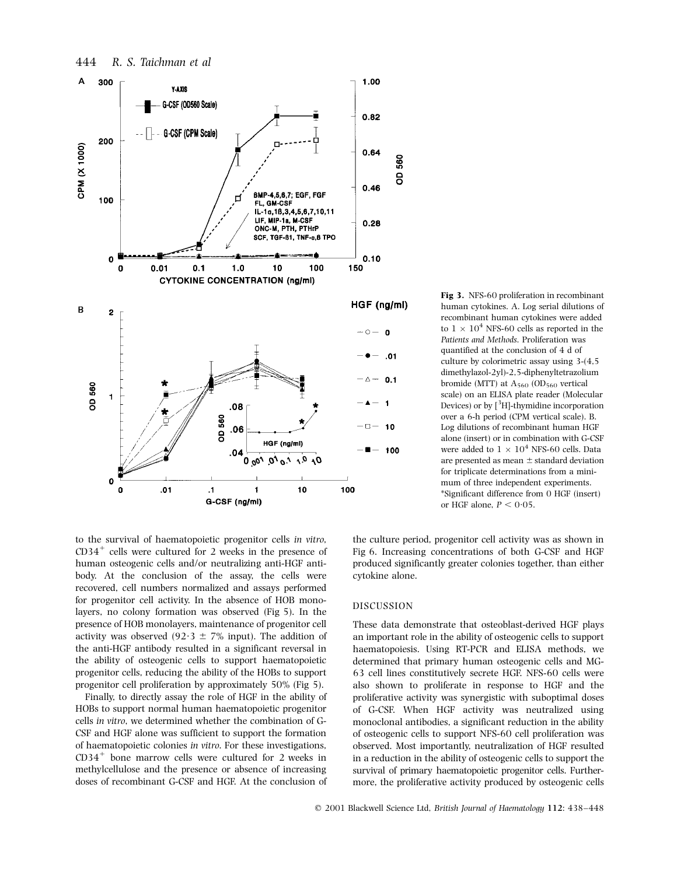

Fig 3. NFS-60 proliferation in recombinant human cytokines. A. Log serial dilutions of recombinant human cytokines were added to  $1 \times 10^4$  NFS-60 cells as reported in the Patients and Methods. Proliferation was quantified at the conclusion of 4 d of culture by colorimetric assay using 3-(4,5 dimethylazol-2yl)-2,5-diphenyltetrazolium bromide (MTT) at  $\mathrm{A}_{560}$  (OD $_{560}$  vertical scale) on an ELISA plate reader (Molecular Devices) or by  $\int^3 H$ -thymidine incorporation over a 6-h period (CPM vertical scale). B. Log dilutions of recombinant human HGF alone (insert) or in combination with G-CSF were added to  $1 \times 10^4$  NFS-60 cells. Data are presented as mean  $\pm$  standard deviation for triplicate determinations from a minimum of three independent experiments. \*Significant difference from 0 HGF (insert) or HGF alone,  $P < 0.05$ .

to the survival of haematopoietic progenitor cells in vitro,  $CD34^+$  cells were cultured for 2 weeks in the presence of human osteogenic cells and/or neutralizing anti-HGF antibody. At the conclusion of the assay, the cells were recovered, cell numbers normalized and assays performed for progenitor cell activity. In the absence of HOB monolayers, no colony formation was observed (Fig 5). In the presence of HOB monolayers, maintenance of progenitor cell activity was observed (92 $\cdot$ 3  $\pm$  7% input). The addition of the anti-HGF antibody resulted in a significant reversal in the ability of osteogenic cells to support haematopoietic progenitor cells, reducing the ability of the HOBs to support progenitor cell proliferation by approximately 50% (Fig 5).

Finally, to directly assay the role of HGF in the ability of HOBs to support normal human haematopoietic progenitor cells in vitro, we determined whether the combination of G-CSF and HGF alone was sufficient to support the formation of haematopoietic colonies in vitro. For these investigations,  $CD34<sup>+</sup>$  bone marrow cells were cultured for 2 weeks in methylcellulose and the presence or absence of increasing doses of recombinant G-CSF and HGF. At the conclusion of the culture period, progenitor cell activity was as shown in Fig 6. Increasing concentrations of both G-CSF and HGF produced significantly greater colonies together, than either cytokine alone.

#### DISCUSSION

These data demonstrate that osteoblast-derived HGF plays an important role in the ability of osteogenic cells to support haematopoiesis. Using RT-PCR and ELISA methods, we determined that primary human osteogenic cells and MG-63 cell lines constitutively secrete HGF. NFS-60 cells were also shown to proliferate in response to HGF and the proliferative activity was synergistic with suboptimal doses of G-CSF. When HGF activity was neutralized using monoclonal antibodies, a significant reduction in the ability of osteogenic cells to support NFS-60 cell proliferation was observed. Most importantly, neutralization of HGF resulted in a reduction in the ability of osteogenic cells to support the survival of primary haematopoietic progenitor cells. Furthermore, the proliferative activity produced by osteogenic cells

# 444 R. S. Taichman et al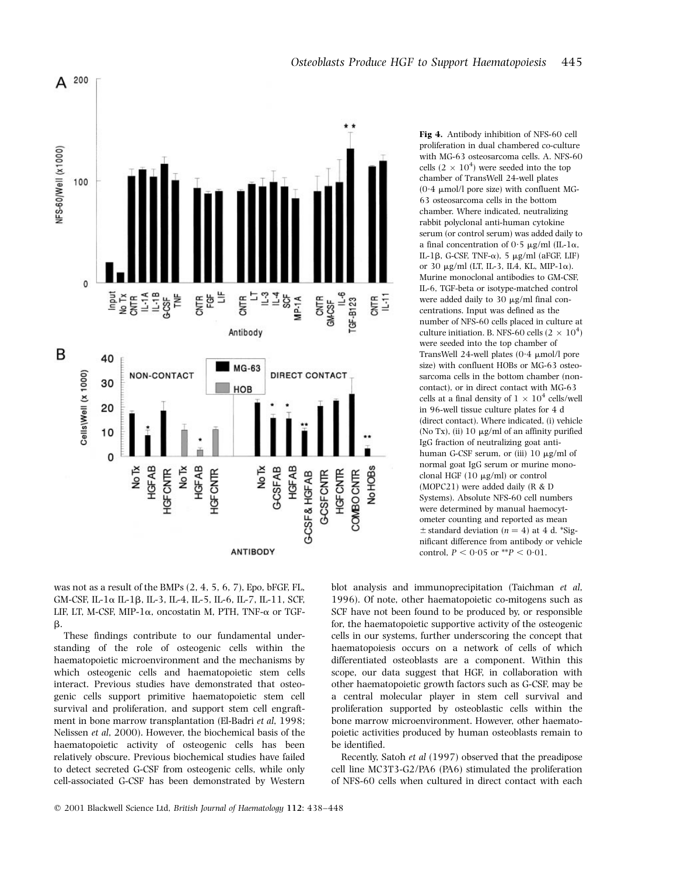

Fig 4. Antibody inhibition of NFS-60 cell proliferation in dual chambered co-culture with MG-63 osteosarcoma cells. A. NFS-60 cells  $(2 \times 10^4)$  were seeded into the top chamber of TransWell 24-well plates  $(0.4 \mu \text{mol/l}$  pore size) with confluent MG-63 osteosarcoma cells in the bottom chamber. Where indicated, neutralizing rabbit polyclonal anti-human cytokine serum (or control serum) was added daily to a final concentration of  $0.5 \mu g/ml$  (IL-1 $\alpha$ , IL-1 $\beta$ , G-CSF, TNF- $\alpha$ ), 5 µg/ml (aFGF, LIF) or 30  $\mu$ g/ml (LT, IL-3, IL4, KL, MIP-1 $\alpha$ ). Murine monoclonal antibodies to GM-CSF, IL-6, TGF-beta or isotype-matched control were added daily to  $30 \mu g/ml$  final concentrations. Input was defined as the number of NFS-60 cells placed in culture at culture initiation. B. NFS-60 cells (2  $\times$   $10^4)$ were seeded into the top chamber of TransWell 24-well plates  $(0.4 \mu \text{mol/l})$ size) with confluent HOBs or MG-63 osteosarcoma cells in the bottom chamber (noncontact), or in direct contact with MG-63 cells at a final density of  $1\times 10^4$  cells/well in 96-well tissue culture plates for 4 d (direct contact). Where indicated, (i) vehicle (No Tx), (ii)  $10 \mu g/ml$  of an affinity purified IgG fraction of neutralizing goat antihuman G-CSF serum, or (iii)  $10 \mu g/ml$  of normal goat IgG serum or murine monoclonal HGF  $(10 \mu g/ml)$  or control (MOPC21) were added daily (R & D Systems). Absolute NFS-60 cell numbers were determined by manual haemocytometer counting and reported as mean  $\pm$  standard deviation (n = 4) at 4 d. \*Significant difference from antibody or vehicle control,  $P < 0.05$  or \*\* $P < 0.01$ .

was not as a result of the BMPs (2, 4, 5, 6, 7), Epo, bFGF, FL, GM-CSF, IL-1a IL-1b, IL-3, IL-4, IL-5, IL-6, IL-7, IL-11, SCF, LIF, LT, M-CSF, MIP-1 $\alpha$ , oncostatin M, PTH, TNF- $\alpha$  or TGF- $\beta$ .

These findings contribute to our fundamental understanding of the role of osteogenic cells within the haematopoietic microenvironment and the mechanisms by which osteogenic cells and haematopoietic stem cells interact. Previous studies have demonstrated that osteogenic cells support primitive haematopoietic stem cell survival and proliferation, and support stem cell engraftment in bone marrow transplantation (El-Badri et al. 1998; Nelissen et al, 2000). However, the biochemical basis of the haematopoietic activity of osteogenic cells has been relatively obscure. Previous biochemical studies have failed to detect secreted G-CSF from osteogenic cells, while only cell-associated G-CSF has been demonstrated by Western blot analysis and immunoprecipitation (Taichman et al, 1996). Of note, other haematopoietic co-mitogens such as SCF have not been found to be produced by, or responsible for, the haematopoietic supportive activity of the osteogenic cells in our systems, further underscoring the concept that haematopoiesis occurs on a network of cells of which differentiated osteoblasts are a component. Within this scope, our data suggest that HGF, in collaboration with other haematopoietic growth factors such as G-CSF, may be a central molecular player in stem cell survival and proliferation supported by osteoblastic cells within the bone marrow microenvironment. However, other haematopoietic activities produced by human osteoblasts remain to be identified.

Recently, Satoh et al (1997) observed that the preadipose cell line MC3T3-G2/PA6 (PA6) stimulated the proliferation of NFS-60 cells when cultured in direct contact with each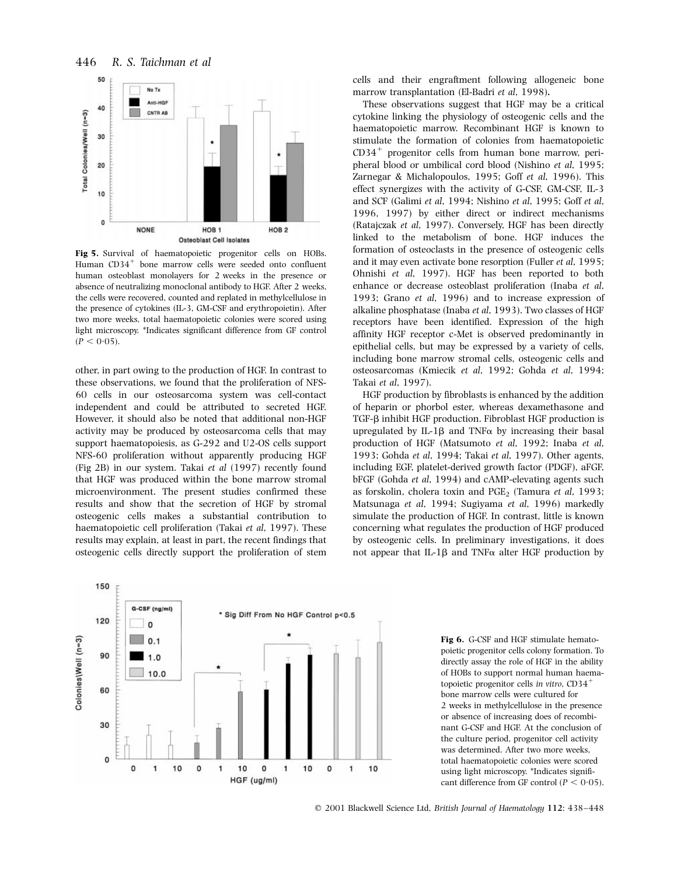446 R. S. Taichman et al



Fig 5. Survival of haematopoietic progenitor cells on HOBs. Human  $CD34^+$  bone marrow cells were seeded onto confluent human osteoblast monolayers for 2 weeks in the presence or absence of neutralizing monoclonal antibody to HGF. After 2 weeks, the cells were recovered, counted and replated in methylcellulose in the presence of cytokines (IL-3, GM-CSF and erythropoietin). After two more weeks, total haematopoietic colonies were scored using light microscopy. \*Indicates significant difference from GF control  $(P < 0.05)$ .

other, in part owing to the production of HGF. In contrast to these observations, we found that the proliferation of NFS-60 cells in our osteosarcoma system was cell-contact independent and could be attributed to secreted HGF. However, it should also be noted that additional non-HGF activity may be produced by osteosarcoma cells that may support haematopoiesis, as G-292 and U2-OS cells support NFS-60 proliferation without apparently producing HGF (Fig 2B) in our system. Takai et al (1997) recently found that HGF was produced within the bone marrow stromal microenvironment. The present studies confirmed these results and show that the secretion of HGF by stromal osteogenic cells makes a substantial contribution to haematopoietic cell proliferation (Takai et al, 1997). These results may explain, at least in part, the recent findings that osteogenic cells directly support the proliferation of stem



cells and their engraftment following allogeneic bone marrow transplantation (El-Badri et al, 1998).

These observations suggest that HGF may be a critical cytokine linking the physiology of osteogenic cells and the haematopoietic marrow. Recombinant HGF is known to stimulate the formation of colonies from haematopoietic CD34<sup>+</sup> progenitor cells from human bone marrow, peripheral blood or umbilical cord blood (Nishino et al, 1995; Zarnegar & Michalopoulos, 1995; Goff et al, 1996). This effect synergizes with the activity of G-CSF, GM-CSF, IL-3 and SCF (Galimi et al, 1994; Nishino et al, 1995; Goff et al, 1996, 1997) by either direct or indirect mechanisms (Ratajczak et al, 1997). Conversely, HGF has been directly linked to the metabolism of bone. HGF induces the formation of osteoclasts in the presence of osteogenic cells and it may even activate bone resorption (Fuller et al, 1995; Ohnishi et al, 1997). HGF has been reported to both enhance or decrease osteoblast proliferation (Inaba et al, 1993; Grano et al, 1996) and to increase expression of alkaline phosphatase (Inaba et al, 1993). Two classes of HGF receptors have been identified. Expression of the high affinity HGF receptor c-Met is observed predominantly in epithelial cells, but may be expressed by a variety of cells, including bone marrow stromal cells, osteogenic cells and osteosarcomas (Kmiecik et al, 1992; Gohda et al, 1994; Takai et al, 1997).

HGF production by fibroblasts is enhanced by the addition of heparin or phorbol ester, whereas dexamethasone and TGF-β inhibit HGF production. Fibroblast HGF production is upregulated by IL-1 $\beta$  and TNF $\alpha$  by increasing their basal production of HGF (Matsumoto et al, 1992; Inaba et al, 1993; Gohda et al, 1994; Takai et al, 1997). Other agents, including EGF, platelet-derived growth factor (PDGF), aFGF, bFGF (Gohda et al, 1994) and cAMP-elevating agents such as forskolin, cholera toxin and  $PGE_2$  (Tamura et al, 1993; Matsunaga et al, 1994; Sugiyama et al, 1996) markedly simulate the production of HGF. In contrast, little is known concerning what regulates the production of HGF produced by osteogenic cells. In preliminary investigations, it does not appear that IL-1 $\beta$  and TNF $\alpha$  alter HGF production by

> Fig 6. G-CSF and HGF stimulate hematopoietic progenitor cells colony formation. To directly assay the role of HGF in the ability of HOBs to support normal human haematopoietic progenitor cells in vitro,  $CD34^+$ bone marrow cells were cultured for 2 weeks in methylcellulose in the presence or absence of increasing does of recombinant G-CSF and HGF. At the conclusion of the culture period, progenitor cell activity was determined. After two more weeks, total haematopoietic colonies were scored using light microscopy. \*Indicates significant difference from GF control ( $P < 0.05$ ).

© 2001 Blackwell Science Ltd, British Journal of Haematology 112: 438-448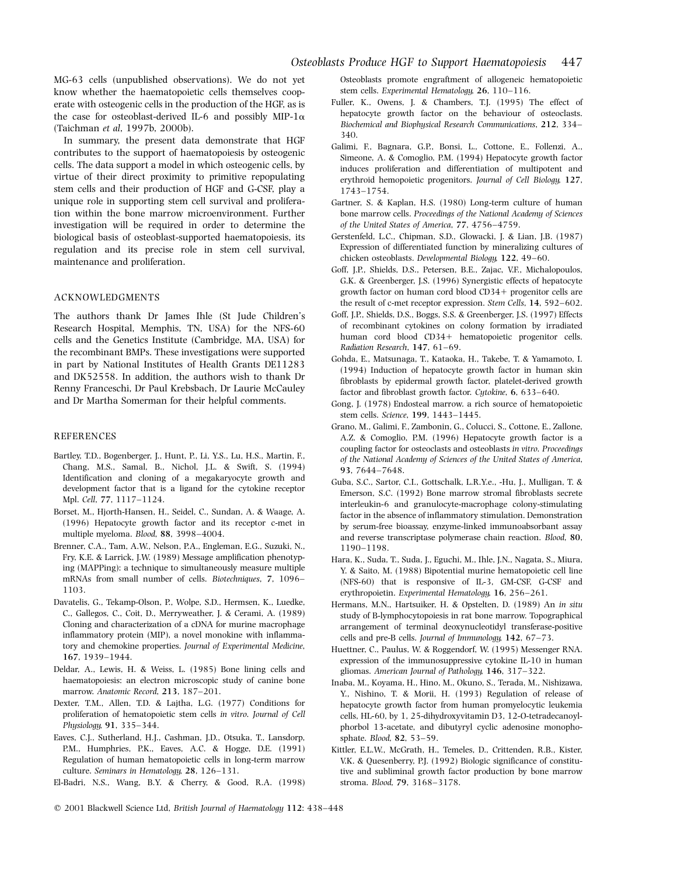MG-63 cells (unpublished observations). We do not yet know whether the haematopoietic cells themselves cooperate with osteogenic cells in the production of the HGF, as is the case for osteoblast-derived IL-6 and possibly MIP-1 $\alpha$ (Taichman et al, 1997b, 2000b).

In summary, the present data demonstrate that HGF contributes to the support of haematopoiesis by osteogenic cells. The data support a model in which osteogenic cells, by virtue of their direct proximity to primitive repopulating stem cells and their production of HGF and G-CSF, play a unique role in supporting stem cell survival and proliferation within the bone marrow microenvironment. Further investigation will be required in order to determine the biological basis of osteoblast-supported haematopoiesis, its regulation and its precise role in stem cell survival, maintenance and proliferation.

### ACKNOWLEDGMENTS

The authors thank Dr James Ihle (St Jude Children's Research Hospital, Memphis, TN, USA) for the NFS-60 cells and the Genetics Institute (Cambridge, MA, USA) for the recombinant BMPs. These investigations were supported in part by National Institutes of Health Grants DE11283 and DK52558. In addition, the authors wish to thank Dr Renny Franceschi, Dr Paul Krebsbach, Dr Laurie McCauley and Dr Martha Somerman for their helpful comments.

#### REFERENCES

- Bartley, T.D., Bogenberger, J., Hunt, P., Li, Y.S., Lu, H.S., Martin, F., Chang, M.S., Samal, B., Nichol, J.L. & Swift, S. (1994) Identification and cloning of a megakaryocyte growth and development factor that is a ligand for the cytokine receptor Mpl. Cell, 77, 1117-1124.
- Borset, M., Hjorth-Hansen, H., Seidel, C., Sundan, A. & Waage, A. (1996) Hepatocyte growth factor and its receptor c-met in multiple myeloma. Blood, 88, 3998-4004.
- Brenner, C.A., Tam, A.W., Nelson, P.A., Engleman, E.G., Suzuki, N., Fry, K.E. & Larrick, J.W. (1989) Message amplification phenotyping (MAPPing): a technique to simultaneously measure multiple mRNAs from small number of cells. Biotechniques, 7, 1096-1103.
- Davatelis, G., Tekamp-Olson, P., Wolpe, S.D., Hermsen, K., Luedke, C., Gallegos, C., Coit, D., Merryweather, J. & Cerami, A. (1989) Cloning and characterization of a cDNA for murine macrophage inflammatory protein (MIP), a novel monokine with inflammatory and chemokine properties. Journal of Experimental Medicine, 167, 1939±1944.
- Deldar, A., Lewis, H. & Weiss, L. (1985) Bone lining cells and haematopoiesis: an electron microscopic study of canine bone marrow. Anatomic Record, 213, 187-201.
- Dexter, T.M., Allen, T.D. & Lajtha, L.G. (1977) Conditions for proliferation of hematopoietic stem cells in vitro. Journal of Cell Physiology, 91, 335-344.
- Eaves, C.J., Sutherland, H.J., Cashman, J.D., Otsuka, T., Lansdorp, P.M., Humphries, P.K., Eaves, A.C. & Hogge, D.E. (1991) Regulation of human hematopoietic cells in long-term marrow culture. Seminars in Hematology, 28, 126-131.
- El-Badri, N.S., Wang, B.Y. & Cherry, & Good, R.A. (1998)
- © 2001 Blackwell Science Ltd, British Journal of Haematology 112: 438-448

Osteoblasts promote engraftment of allogeneic hematopoietic stem cells. Experimental Hematology, 26, 110-116.

- Fuller, K., Owens, J. & Chambers, T.J. (1995) The effect of hepatocyte growth factor on the behaviour of osteoclasts. Biochemical and Biophysical Research Communications, 212, 334-340.
- Galimi, F., Bagnara, G.P., Bonsi, L., Cottone, E., Follenzi, A., Simeone, A. & Comoglio, P.M. (1994) Hepatocyte growth factor induces proliferation and differentiation of multipotent and erythroid hemopoietic progenitors. Journal of Cell Biology, 127, 1743±1754.
- Gartner, S. & Kaplan, H.S. (1980) Long-term culture of human bone marrow cells. Proceedings of the National Academy of Sciences of the United States of America, 77, 4756-4759.
- Gerstenfeld, L.C., Chipman, S.D., Glowacki, J. & Lian, J.B. (1987) Expression of differentiated function by mineralizing cultures of chicken osteoblasts. Developmental Biology, 122, 49-60.
- Goff, J.P., Shields, D.S., Petersen, B.E., Zajac, V.F., Michalopoulos, G.K. & Greenberger, J.S. (1996) Synergistic effects of hepatocyte growth factor on human cord blood  $CD34+$  progenitor cells are the result of c-met receptor expression. Stem Cells, 14, 592-602.
- Goff, J.P., Shields, D.S., Boggs, S.S. & Greenberger, J.S. (1997) Effects of recombinant cytokines on colony formation by irradiated human cord blood CD34+ hematopoietic progenitor cells. Radiation Research, 147, 61-69.
- Gohda, E., Matsunaga, T., Kataoka, H., Takebe, T. & Yamamoto, I. (1994) Induction of hepatocyte growth factor in human skin fibroblasts by epidermal growth factor, platelet-derived growth factor and fibroblast growth factor. Cytokine, 6, 633-640.
- Gong, J. (1978) Endosteal marrow. a rich source of hematopoietic stem cells. Science, 199, 1443-1445.
- Grano, M., Galimi, F., Zambonin, G., Colucci, S., Cottone, E., Zallone, A.Z. & Comoglio, P.M. (1996) Hepatocyte growth factor is a coupling factor for osteoclasts and osteoblasts in vitro. Proceedings of the National Academy of Sciences of the United States of America, 93, 7644-7648.
- Guba, S.C., Sartor, C.I., Gottschalk, L.R.Y.e., -Hu, J., Mulligan, T. & Emerson, S.C. (1992) Bone marrow stromal fibroblasts secrete interleukin-6 and granulocyte-macrophage colony-stimulating factor in the absence of inflammatory stimulation. Demonstration by serum-free bioassay, enzyme-linked immunoabsorbant assay and reverse transcriptase polymerase chain reaction. Blood, 80, 1190±1198.
- Hara, K., Suda, T., Suda, J., Eguchi, M., Ihle, J.N., Nagata, S., Miura, Y. & Saito, M. (1988) Bipotential murine hematopoietic cell line (NFS-60) that is responsive of IL-3, GM-CSF, G-CSF and erythropoietin. Experimental Hematology, 16, 256-261.
- Hermans, M.N., Hartsuiker, H. & Opstelten, D. (1989) An in situ study of B-lymphocytopoiesis in rat bone marrow. Topographical arrangement of terminal deoxynucleotidyl transferase-positive cells and pre-B cells. Journal of Immunology, 142, 67-73.
- Huettner, C., Paulus, W. & Roggendorf, W. (1995) Messenger RNA. expression of the immunosuppressive cytokine IL-10 in human gliomas. American Journal of Pathology, 146, 317-322.
- Inaba, M., Koyama, H., Hino, M., Okuno, S., Terada, M., Nishizawa, Y., Nishino, T. & Morii, H. (1993) Regulation of release of hepatocyte growth factor from human promyelocytic leukemia cells, HL-60, by 1, 25-dihydroxyvitamin D3, 12-O-tetradecanoylphorbol 13-acetate, and dibutyryl cyclic adenosine monophosphate. Blood, 82, 53-59.
- Kittler, E.L.W., McGrath, H., Temeles, D., Crittenden, R.B., Kister, V.K. & Quesenberry, P.J. (1992) Biologic significance of constitutive and subliminal growth factor production by bone marrow stroma. Blood, 79, 3168-3178.